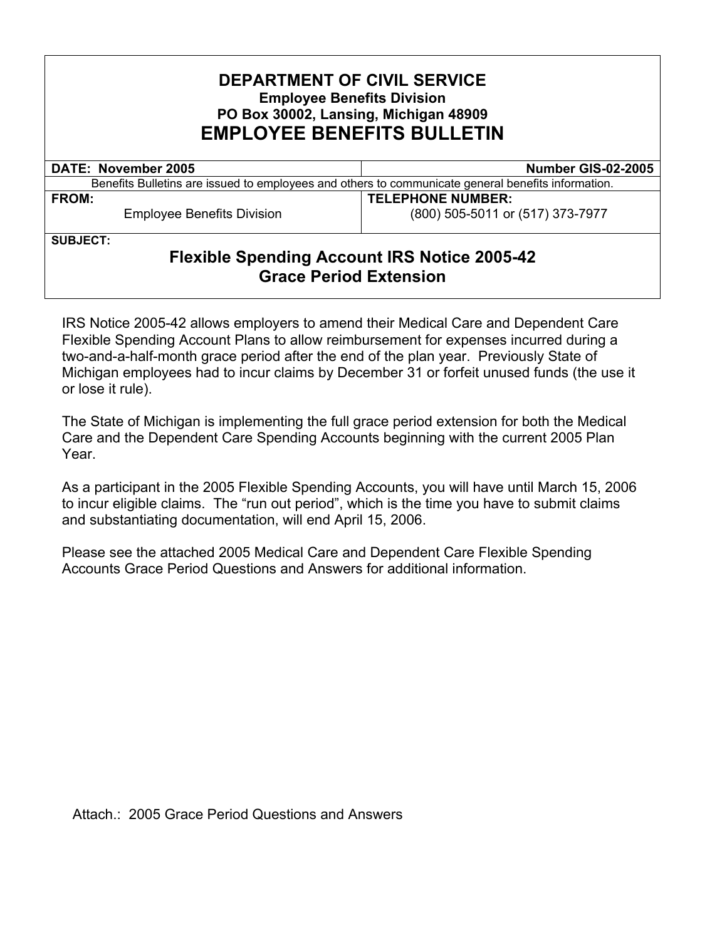### **DEPARTMENT OF CIVIL SERVICE Employee Benefits Division PO Box 30002, Lansing, Michigan 48909 EMPLOYEE BENEFITS BULLETIN**

| <b>DATE: November 2005</b>                                                                         | Number GIS-02-2005               |
|----------------------------------------------------------------------------------------------------|----------------------------------|
| Benefits Bulletins are issued to employees and others to communicate general benefits information. |                                  |
| <b>FROM:</b>                                                                                       | <b>TELEPHONE NUMBER:</b>         |
| <b>Employee Benefits Division</b>                                                                  | (800) 505-5011 or (517) 373-7977 |

**SUBJECT:** 

## **Flexible Spending Account IRS Notice 2005-42 Grace Period Extension**

IRS Notice 2005-42 allows employers to amend their Medical Care and Dependent Care Flexible Spending Account Plans to allow reimbursement for expenses incurred during a two-and-a-half-month grace period after the end of the plan year. Previously State of Michigan employees had to incur claims by December 31 or forfeit unused funds (the use it or lose it rule).

The State of Michigan is implementing the full grace period extension for both the Medical Care and the Dependent Care Spending Accounts beginning with the current 2005 Plan Year.

As a participant in the 2005 Flexible Spending Accounts, you will have until March 15, 2006 to incur eligible claims. The "run out period", which is the time you have to submit claims and substantiating documentation, will end April 15, 2006.

Please see the attached 2005 Medical Care and Dependent Care Flexible Spending Accounts Grace Period Questions and Answers for additional information.

Attach.: 2005 Grace Period Questions and Answers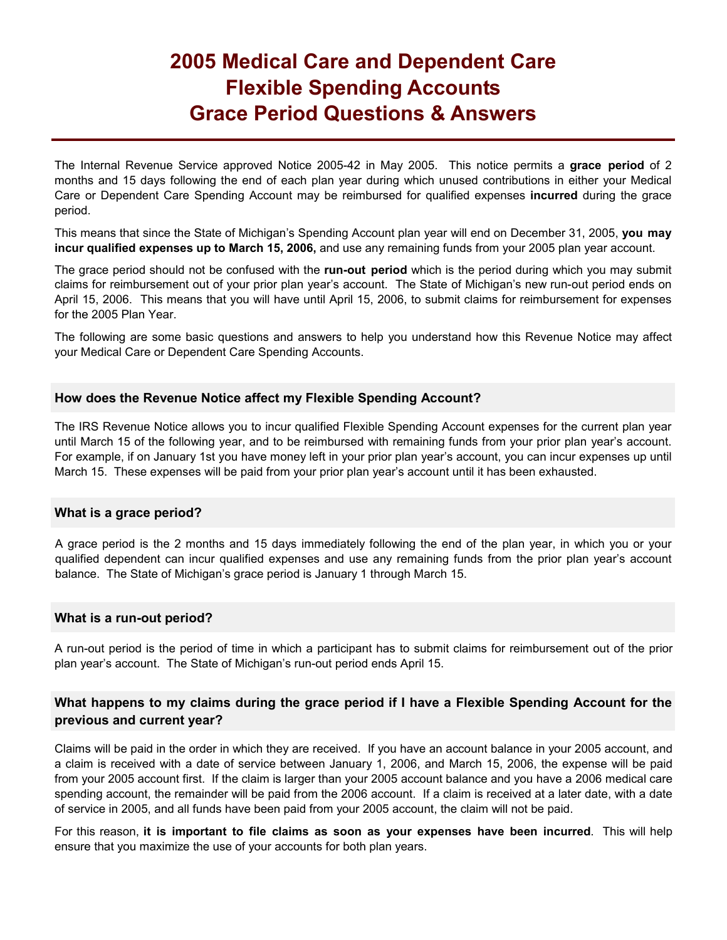# **2005 Medical Care and Dependent Care Flexible Spending Accounts Grace Period Questions & Answers**

The Internal Revenue Service approved Notice 2005-42 in May 2005. This notice permits a **grace period** of 2 months and 15 days following the end of each plan year during which unused contributions in either your Medical Care or Dependent Care Spending Account may be reimbursed for qualified expenses **incurred** during the grace period.

This means that since the State of Michigan's Spending Account plan year will end on December 31, 2005, **you may incur qualified expenses up to March 15, 2006,** and use any remaining funds from your 2005 plan year account.

The grace period should not be confused with the **run-out period** which is the period during which you may submit claims for reimbursement out of your prior plan year's account. The State of Michigan's new run-out period ends on April 15, 2006. This means that you will have until April 15, 2006, to submit claims for reimbursement for expenses for the 2005 Plan Year.

The following are some basic questions and answers to help you understand how this Revenue Notice may affect your Medical Care or Dependent Care Spending Accounts.

#### **How does the Revenue Notice affect my Flexible Spending Account?**

The IRS Revenue Notice allows you to incur qualified Flexible Spending Account expenses for the current plan year until March 15 of the following year, and to be reimbursed with remaining funds from your prior plan year's account. For example, if on January 1st you have money left in your prior plan year's account, you can incur expenses up until March 15. These expenses will be paid from your prior plan year's account until it has been exhausted.

#### **What is a grace period?**

A grace period is the 2 months and 15 days immediately following the end of the plan year, in which you or your qualified dependent can incur qualified expenses and use any remaining funds from the prior plan year's account balance. The State of Michigan's grace period is January 1 through March 15.

#### **What is a run-out period?**

A run-out period is the period of time in which a participant has to submit claims for reimbursement out of the prior plan year's account. The State of Michigan's run-out period ends April 15.

#### **What happens to my claims during the grace period if I have a Flexible Spending Account for the previous and current year?**

Claims will be paid in the order in which they are received. If you have an account balance in your 2005 account, and a claim is received with a date of service between January 1, 2006, and March 15, 2006, the expense will be paid from your 2005 account first. If the claim is larger than your 2005 account balance and you have a 2006 medical care spending account, the remainder will be paid from the 2006 account. If a claim is received at a later date, with a date of service in 2005, and all funds have been paid from your 2005 account, the claim will not be paid.

For this reason, **it is important to file claims as soon as your expenses have been incurred**. This will help ensure that you maximize the use of your accounts for both plan years.